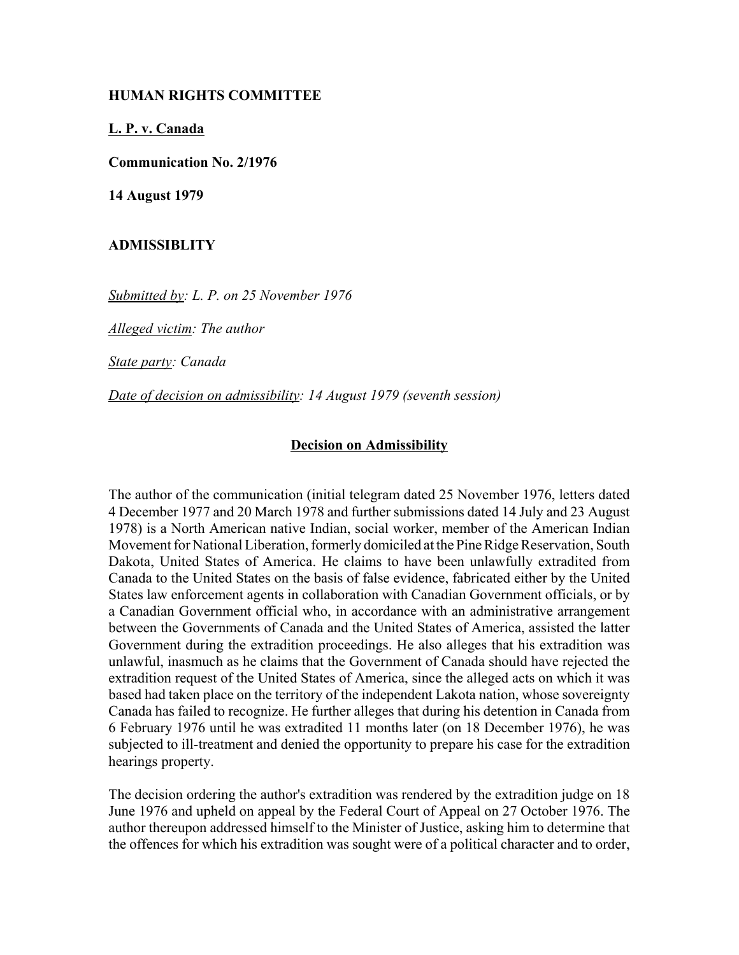## **HUMAN RIGHTS COMMITTEE**

**L. P. v. Canada**

**Communication No. 2/1976** 

**14 August 1979**

## **ADMISSIBLITY**

*Submitted by: L. P. on 25 November 1976* 

*Alleged victim: The author* 

*State party: Canada* 

*Date of decision on admissibility: 14 August 1979 (seventh session)* 

## **Decision on Admissibility**

The author of the communication (initial telegram dated 25 November 1976, letters dated 4 December 1977 and 20 March 1978 and further submissions dated 14 July and 23 August 1978) is a North American native Indian, social worker, member of the American Indian Movement for National Liberation, formerly domiciled at the Pine Ridge Reservation, South Dakota, United States of America. He claims to have been unlawfully extradited from Canada to the United States on the basis of false evidence, fabricated either by the United States law enforcement agents in collaboration with Canadian Government officials, or by a Canadian Government official who, in accordance with an administrative arrangement between the Governments of Canada and the United States of America, assisted the latter Government during the extradition proceedings. He also alleges that his extradition was unlawful, inasmuch as he claims that the Government of Canada should have rejected the extradition request of the United States of America, since the alleged acts on which it was based had taken place on the territory of the independent Lakota nation, whose sovereignty Canada has failed to recognize. He further alleges that during his detention in Canada from 6 February 1976 until he was extradited 11 months later (on 18 December 1976), he was subjected to ill-treatment and denied the opportunity to prepare his case for the extradition hearings property.

The decision ordering the author's extradition was rendered by the extradition judge on 18 June 1976 and upheld on appeal by the Federal Court of Appeal on 27 October 1976. The author thereupon addressed himself to the Minister of Justice, asking him to determine that the offences for which his extradition was sought were of a political character and to order,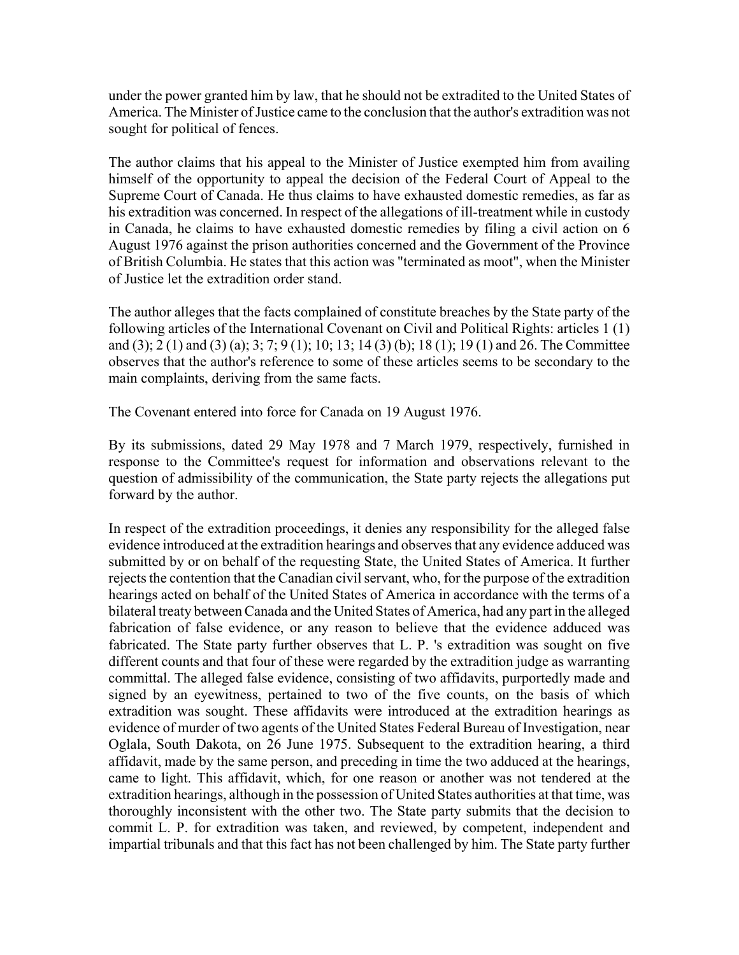under the power granted him by law, that he should not be extradited to the United States of America. The Minister of Justice came to the conclusion that the author's extradition was not sought for political of fences.

The author claims that his appeal to the Minister of Justice exempted him from availing himself of the opportunity to appeal the decision of the Federal Court of Appeal to the Supreme Court of Canada. He thus claims to have exhausted domestic remedies, as far as his extradition was concerned. In respect of the allegations of ill-treatment while in custody in Canada, he claims to have exhausted domestic remedies by filing a civil action on 6 August 1976 against the prison authorities concerned and the Government of the Province of British Columbia. He states that this action was "terminated as moot", when the Minister of Justice let the extradition order stand.

The author alleges that the facts complained of constitute breaches by the State party of the following articles of the International Covenant on Civil and Political Rights: articles 1 (1) and (3); 2 (1) and (3) (a); 3; 7; 9 (1); 10; 13; 14 (3) (b); 18 (1); 19 (1) and 26. The Committee observes that the author's reference to some of these articles seems to be secondary to the main complaints, deriving from the same facts.

The Covenant entered into force for Canada on 19 August 1976.

By its submissions, dated 29 May 1978 and 7 March 1979, respectively, furnished in response to the Committee's request for information and observations relevant to the question of admissibility of the communication, the State party rejects the allegations put forward by the author.

In respect of the extradition proceedings, it denies any responsibility for the alleged false evidence introduced at the extradition hearings and observes that any evidence adduced was submitted by or on behalf of the requesting State, the United States of America. It further rejects the contention that the Canadian civil servant, who, for the purpose of the extradition hearings acted on behalf of the United States of America in accordance with the terms of a bilateral treaty between Canada and the United States of America, had any part in the alleged fabrication of false evidence, or any reason to believe that the evidence adduced was fabricated. The State party further observes that L. P. 's extradition was sought on five different counts and that four of these were regarded by the extradition judge as warranting committal. The alleged false evidence, consisting of two affidavits, purportedly made and signed by an eyewitness, pertained to two of the five counts, on the basis of which extradition was sought. These affidavits were introduced at the extradition hearings as evidence of murder of two agents of the United States Federal Bureau of Investigation, near Oglala, South Dakota, on 26 June 1975. Subsequent to the extradition hearing, a third affidavit, made by the same person, and preceding in time the two adduced at the hearings, came to light. This affidavit, which, for one reason or another was not tendered at the extradition hearings, although in the possession of United States authorities at that time, was thoroughly inconsistent with the other two. The State party submits that the decision to commit L. P. for extradition was taken, and reviewed, by competent, independent and impartial tribunals and that this fact has not been challenged by him. The State party further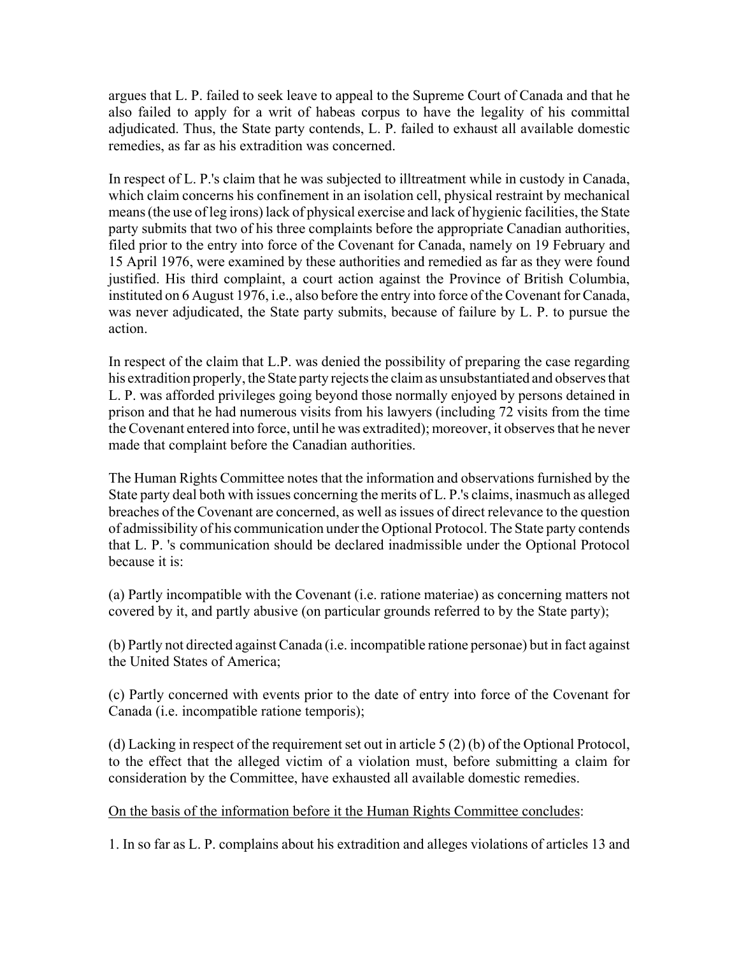argues that L. P. failed to seek leave to appeal to the Supreme Court of Canada and that he also failed to apply for a writ of habeas corpus to have the legality of his committal adjudicated. Thus, the State party contends, L. P. failed to exhaust all available domestic remedies, as far as his extradition was concerned.

In respect of L. P.'s claim that he was subjected to illtreatment while in custody in Canada, which claim concerns his confinement in an isolation cell, physical restraint by mechanical means (the use of leg irons) lack of physical exercise and lack of hygienic facilities, the State party submits that two of his three complaints before the appropriate Canadian authorities, filed prior to the entry into force of the Covenant for Canada, namely on 19 February and 15 April 1976, were examined by these authorities and remedied as far as they were found justified. His third complaint, a court action against the Province of British Columbia, instituted on 6 August 1976, i.e., also before the entry into force of the Covenant for Canada, was never adjudicated, the State party submits, because of failure by L. P. to pursue the action.

In respect of the claim that L.P. was denied the possibility of preparing the case regarding his extradition properly, the State party rejects the claim as unsubstantiated and observes that L. P. was afforded privileges going beyond those normally enjoyed by persons detained in prison and that he had numerous visits from his lawyers (including 72 visits from the time the Covenant entered into force, until he was extradited); moreover, it observes that he never made that complaint before the Canadian authorities.

The Human Rights Committee notes that the information and observations furnished by the State party deal both with issues concerning the merits of L. P.'s claims, inasmuch as alleged breaches of the Covenant are concerned, as well as issues of direct relevance to the question of admissibility of his communication under the Optional Protocol. The State party contends that L. P. 's communication should be declared inadmissible under the Optional Protocol because it is:

(a) Partly incompatible with the Covenant (i.e. ratione materiae) as concerning matters not covered by it, and partly abusive (on particular grounds referred to by the State party);

(b) Partly not directed against Canada (i.e. incompatible ratione personae) but in fact against the United States of America;

(c) Partly concerned with events prior to the date of entry into force of the Covenant for Canada (i.e. incompatible ratione temporis);

(d) Lacking in respect of the requirement set out in article 5 (2) (b) of the Optional Protocol, to the effect that the alleged victim of a violation must, before submitting a claim for consideration by the Committee, have exhausted all available domestic remedies.

## On the basis of the information before it the Human Rights Committee concludes:

1. In so far as L. P. complains about his extradition and alleges violations of articles 13 and